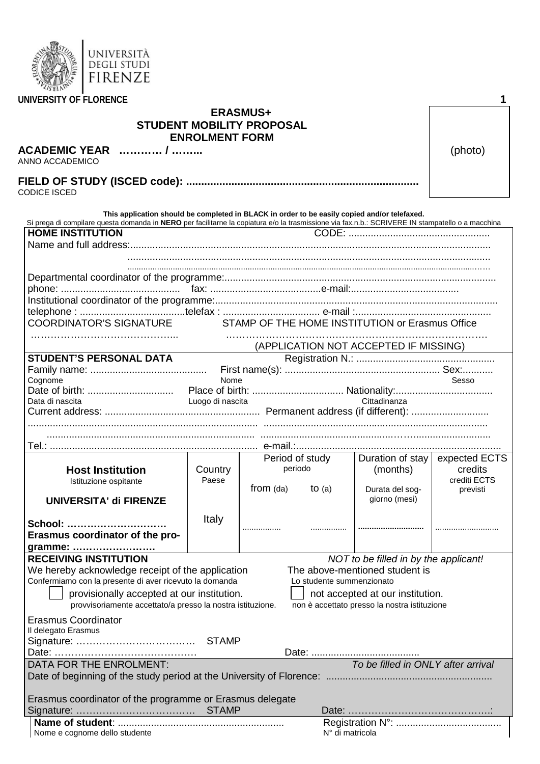| AFTS.<br><b>PS</b><br>انته<br>$\overline{ }$<br>K.<br>$\approx$<br><b>MOD</b><br>$\subset$<br>$\overline{\phantom{0}}$<br>$\overline{\phantom{a}}$<br>$\rightarrow$<br>ີ<br>س<br><b>ASSESSMENT</b> | UNIVERSITÀ<br><b>DEGLI STUDI</b><br>FN7F |  |   |
|----------------------------------------------------------------------------------------------------------------------------------------------------------------------------------------------------|------------------------------------------|--|---|
| UNIVERSITY OF FLORENCE                                                                                                                                                                             |                                          |  | А |

|                                                                                                                                                                                                                                                  | <b>ENROLMENT FORM</b> | <b>STUDENT MOBILITY PROPOSAL</b> |          |                                              |               |  |
|--------------------------------------------------------------------------------------------------------------------------------------------------------------------------------------------------------------------------------------------------|-----------------------|----------------------------------|----------|----------------------------------------------|---------------|--|
| ACADEMIC YEAR  /<br>ANNO ACCADEMICO                                                                                                                                                                                                              | (photo)               |                                  |          |                                              |               |  |
|                                                                                                                                                                                                                                                  |                       |                                  |          |                                              |               |  |
| CODICE ISCED                                                                                                                                                                                                                                     |                       |                                  |          |                                              |               |  |
|                                                                                                                                                                                                                                                  |                       |                                  |          |                                              |               |  |
| This application should be completed in BLACK in order to be easily copied and/or telefaxed.<br>Si prega di compilare questa domanda in NERO per facilitarne la copiatura e/o la trasmissione via fax.n.b.: SCRIVERE IN stampatello o a macchina |                       |                                  |          |                                              |               |  |
| <b>HOME INSTITUTION</b>                                                                                                                                                                                                                          |                       |                                  |          |                                              |               |  |
|                                                                                                                                                                                                                                                  |                       |                                  |          |                                              |               |  |
|                                                                                                                                                                                                                                                  |                       |                                  |          |                                              |               |  |
|                                                                                                                                                                                                                                                  |                       |                                  |          |                                              |               |  |
|                                                                                                                                                                                                                                                  |                       |                                  |          |                                              |               |  |
|                                                                                                                                                                                                                                                  |                       |                                  |          |                                              |               |  |
|                                                                                                                                                                                                                                                  |                       |                                  |          |                                              |               |  |
| COORDINATOR'S SIGNATURE STAMP OF THE HOME INSTITUTION or Erasmus Office                                                                                                                                                                          |                       |                                  |          |                                              |               |  |
|                                                                                                                                                                                                                                                  |                       |                                  |          |                                              |               |  |
| <b>STUDENT'S PERSONAL DATA</b>                                                                                                                                                                                                                   |                       |                                  |          | (APPLICATION NOT ACCEPTED IF MISSING)        |               |  |
|                                                                                                                                                                                                                                                  |                       |                                  |          |                                              |               |  |
| Cognome                                                                                                                                                                                                                                          | Nome                  |                                  |          |                                              | Sesso         |  |
|                                                                                                                                                                                                                                                  |                       |                                  |          |                                              |               |  |
| Data di nascita                                                                                                                                                                                                                                  | Luogo di nascita      |                                  |          | Cittadinanza                                 |               |  |
|                                                                                                                                                                                                                                                  |                       |                                  |          |                                              |               |  |
|                                                                                                                                                                                                                                                  |                       |                                  |          |                                              |               |  |
|                                                                                                                                                                                                                                                  |                       |                                  |          |                                              |               |  |
|                                                                                                                                                                                                                                                  |                       | Period of study                  |          | Duration of stay                             | expected ECTS |  |
| <b>Host Institution</b>                                                                                                                                                                                                                          | Country               | periodo                          |          | (months)                                     | credits       |  |
| Istituzione ospitante                                                                                                                                                                                                                            | Paese                 |                                  |          |                                              | crediti ECTS  |  |
| <b>UNIVERSITA' di FIRENZE</b>                                                                                                                                                                                                                    |                       | from (da)                        | to $(a)$ | Durata del sog-<br>giorno (mesi)             | previsti      |  |
|                                                                                                                                                                                                                                                  |                       |                                  |          |                                              |               |  |
| School: .                                                                                                                                                                                                                                        | Italy                 |                                  |          |                                              |               |  |
| Erasmus coordinator of the pro-                                                                                                                                                                                                                  |                       |                                  |          |                                              |               |  |
| gramme:                                                                                                                                                                                                                                          |                       |                                  |          |                                              |               |  |
| <b>RECEIVING INSTITUTION</b>                                                                                                                                                                                                                     |                       |                                  |          | NOT to be filled in by the applicant!        |               |  |
| We hereby acknowledge receipt of the application                                                                                                                                                                                                 |                       |                                  |          | The above-mentioned student is               |               |  |
| Confermiamo con la presente di aver ricevuto la domanda<br>Lo studente summenzionato                                                                                                                                                             |                       |                                  |          |                                              |               |  |
| provisionally accepted at our institution.<br>not accepted at our institution.                                                                                                                                                                   |                       |                                  |          |                                              |               |  |
| provvisoriamente accettato/a presso la nostra istituzione.                                                                                                                                                                                       |                       |                                  |          | non è accettato presso la nostra istituzione |               |  |
| <b>Erasmus Coordinator</b>                                                                                                                                                                                                                       |                       |                                  |          |                                              |               |  |
| Il delegato Erasmus                                                                                                                                                                                                                              |                       |                                  |          |                                              |               |  |
|                                                                                                                                                                                                                                                  |                       |                                  |          |                                              |               |  |
| DATA FOR THE ENROLMENT:                                                                                                                                                                                                                          |                       |                                  |          | To be filled in ONLY after arrival           |               |  |
|                                                                                                                                                                                                                                                  |                       |                                  |          |                                              |               |  |
|                                                                                                                                                                                                                                                  |                       |                                  |          |                                              |               |  |
| Erasmus coordinator of the programme or Erasmus delegate                                                                                                                                                                                         |                       |                                  |          |                                              |               |  |
|                                                                                                                                                                                                                                                  |                       |                                  |          |                                              |               |  |
|                                                                                                                                                                                                                                                  |                       |                                  |          |                                              |               |  |
| Nome e cognome dello studente                                                                                                                                                                                                                    |                       |                                  |          | N° di matricola                              |               |  |

**ERASMUS+**